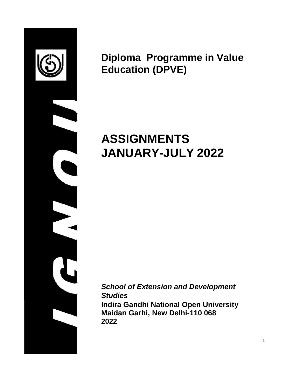

**Diploma Programme in Value Education (DPVE)**

# **ASSIGNMENTS JANUARY-JULY 2022**

*School of Extension and Development Studies* **Indira Gandhi National Open University Maidan Garhi, New Delhi-110 068 2022**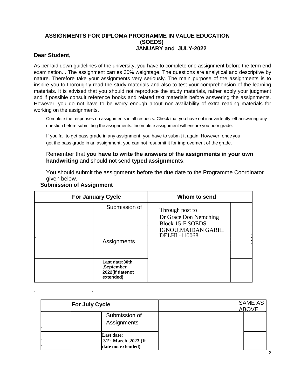#### **ASSIGNMENTS FOR DIPLOMA PROGRAMME IN VALUE EDUCATION (SOEDS) JANUARY and JULY-2022**

#### **Dear Student,**

As per laid down guidelines of the university, you have to complete one assignment before the term end examination. . The assignment carries 30% weightage. The questions are analytical and descriptive by nature. Therefore take your assignments very seriously. The main purpose of the assignments is to inspire you to thoroughly read the study materials and also to test your comprehension of the learning materials. It is advised that you should not reproduce the study materials, rather apply your judgment and if possible consult reference books and related text materials before answering the assignments. However, you do not have to be worry enough about non-availability of extra reading materials for working on the assignments.

Complete the responses on assignments in all respects. Check that you have not inadvertently left answering any question before submitting the assignments. Incomplete assignment will ensure you poor grade.

If you fail to get pass grade in any assignment, you have to submit it again. However, once you get the pass grade in an assignment, you can not resubmit it for improvement of the grade.

Remember that **you have to write the answers of the assignments in your own handwriting** and should not send **typed assignments**.

You should submit the assignments before the due date to the Programme Coordinator given below.

| <b>For January Cycle</b> |                                                              | Whom to send                                                                                                       |  |
|--------------------------|--------------------------------------------------------------|--------------------------------------------------------------------------------------------------------------------|--|
|                          | Submission of<br>Assignments                                 | Through post to<br>Dr Grace Don Nemching<br><b>Block 15-F, SOEDS</b><br>IGNOU, MAIDAN GARHI<br><b>DELHI-110068</b> |  |
|                          |                                                              |                                                                                                                    |  |
|                          | Last date:30th<br>,September<br>2022(if datenot<br>extended) |                                                                                                                    |  |

#### **Submission of Assignment**

| <b>For July Cycle</b>                                                | SAME AS<br><b>ABOVE</b> |
|----------------------------------------------------------------------|-------------------------|
| Submission of<br>Assignments                                         |                         |
| Last date:<br>31 <sup>st</sup> March, 2023 (If<br>date not extended) |                         |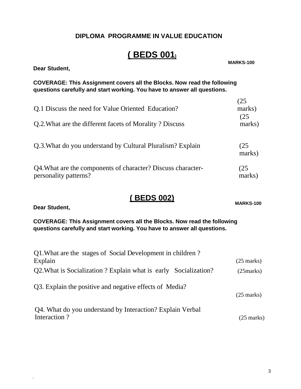#### **DIPLOMA PROGRAMME IN VALUE EDUCATION**

# **( BEDS 001)**

**Dear Student,**

**MARKS-100**

**COVERAGE: This Assignment covers all the Blocks. Now read the following questions carefully and start working. You have to answer all questions.**

| Q.1 Discuss the need for Value Oriented Education?                                    | (25<br>marks)<br>(25 |
|---------------------------------------------------------------------------------------|----------------------|
| Q.2. What are the different facets of Morality? Discuss                               | marks)               |
| Q.3. What do you understand by Cultural Pluralism? Explain                            | (25)<br>marks)       |
| Q4. What are the components of character? Discuss character-<br>personality patterns? | (25)<br>marks)       |

### **( BEDS 002)**

**MARKS-100**

**Dear Student,**

.

**COVERAGE: This Assignment covers all the Blocks. Now read the following questions carefully and start working. You have to answer all questions.**

| Q1. What are the stages of Social Development in children?      |                      |
|-----------------------------------------------------------------|----------------------|
| Explain                                                         | $(25 \text{ marks})$ |
| Q2. What is Socialization? Explain what is early Socialization? | (25 marks)           |
| Q3. Explain the positive and negative effects of Media?         | $(25 \text{ marks})$ |
| Q4. What do you understand by Interaction? Explain Verbal       |                      |
| Interaction?                                                    | $(25 \text{ marks})$ |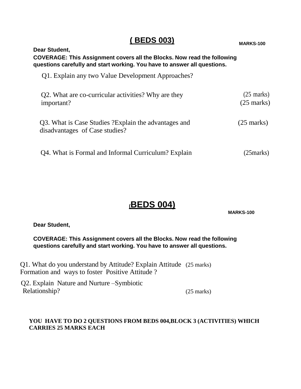# **( BEDS 003) MARKS-100**

#### **Dear Student, COVERAGE: This Assignment covers all the Blocks. Now read the following questions carefully and start working. You have to answer all questions.**

Q1. Explain any two Value Development Approaches?

| Q2. What are co-curricular activities? Why are they<br>important?                       | $(25 \text{ marks})$<br>$(25 \text{ marks})$ |
|-----------------------------------------------------------------------------------------|----------------------------------------------|
| Q3. What is Case Studies ? Explain the advantages and<br>disadvantages of Case studies? | $(25 \text{ marks})$                         |
| Q4. What is Formal and Informal Curriculum? Explain                                     | (25 marks)                                   |

# **(BEDS 004)**

**MARKS-100**

**Dear Student,**

**COVERAGE: This Assignment covers all the Blocks. Now read the following questions carefully and start working. You have to answer all questions.**

Q1. What do you understand by Attitude? Explain Attitude (25 marks) Formation and ways to foster Positive Attitude ?

Q2. Explain Nature and Nurture –Symbiotic Relationship? (25 marks)

#### **YOU HAVE TO DO 2 QUESTIONS FROM BEDS 004,BLOCK 3 (ACTIVITIES) WHICH CARRIES 25 MARKS EACH**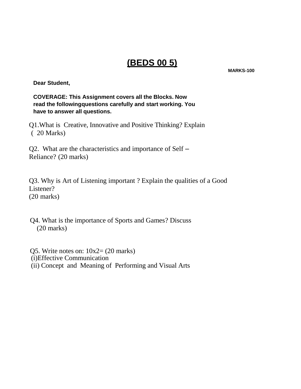# **(BEDS 00 5)**

**MARKS-100**

**Dear Student,**

**COVERAGE: This Assignment covers all the Blocks. Now read the followingquestions carefully and start working. You have to answer all questions.**

Q1.What is Creative, Innovative and Positive Thinking? Explain ( 20 Marks)

Q2. What are the characteristics and importance of Self – Reliance? (20 marks)

Q3. Why is Art of Listening important ? Explain the qualities of a Good Listener? (20 marks)

Q4. What is the importance of Sports and Games? Discuss (20 marks)

Q5. Write notes on:  $10x2 = (20 \text{ marks})$ (i)Effective Communication (ii) Concept and Meaning of Performing and Visual Arts